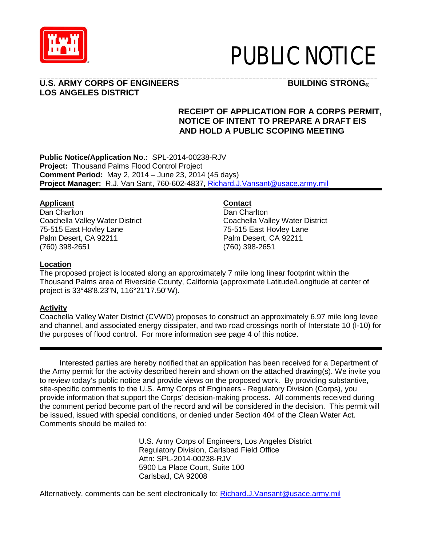

# PUBLIC NOTICE

#### \_\_\_\_\_\_\_\_\_\_\_\_\_\_\_\_\_\_\_\_\_\_\_\_\_\_\_\_\_\_\_\_\_\_\_\_\_\_\_\_\_\_\_\_\_\_\_\_\_\_\_\_\_\_\_\_\_\_\_\_\_\_\_\_\_\_\_\_\_\_\_\_\_\_\_\_\_\_\_\_\_\_\_\_\_\_\_\_\_ **U.S. ARMY CORPS OF ENGINEERS BUILDING STRONG® LOS ANGELES DISTRICT**

# **RECEIPT OF APPLICATION FOR A CORPS PERMIT, NOTICE OF INTENT TO PREPARE A DRAFT EIS AND HOLD A PUBLIC SCOPING MEETING**

**Public Notice/Application No.:** SPL-2014-00238-RJV **Project:** Thousand Palms Flood Control Project **Comment Period:** May 2, 2014 – June 23, 2014 (45 days) **Project Manager:** R.J. Van Sant, 760-602-4837, Richard.J.Vansant@usace.army.mil

# **Applicant**

Dan Charlton Coachella Valley Water District 75-515 East Hovley Lane Palm Desert, CA 92211 (760) 398-2651

**Contact**

Dan Charlton Coachella Valley Water District 75-515 East Hovley Lane Palm Desert, CA 92211 (760) 398-2651

### **Location**

The proposed project is located along an approximately 7 mile long linear footprint within the Thousand Palms area of Riverside County, California (approximate Latitude/Longitude at center of project is 33°48'8.23"N, 116°21'17.50"W).

#### **Activity**

Coachella Valley Water District (CVWD) proposes to construct an approximately 6.97 mile long levee and channel, and associated energy dissipater, and two road crossings north of Interstate 10 (I-10) for the purposes of flood control. For more information see page 4 of this notice.

Interested parties are hereby notified that an application has been received for a Department of the Army permit for the activity described herein and shown on the attached drawing(s). We invite you to review today's public notice and provide views on the proposed work. By providing substantive, site-specific comments to the U.S. Army Corps of Engineers - Regulatory Division (Corps), you provide information that support the Corps' decision-making process. All comments received during the comment period become part of the record and will be considered in the decision. This permit will be issued, issued with special conditions, or denied under Section 404 of the Clean Water Act. Comments should be mailed to:

> U.S. Army Corps of Engineers, Los Angeles District Regulatory Division, Carlsbad Field Office Attn: SPL-2014-00238-RJV 5900 La Place Court, Suite 100 Carlsbad, CA 92008

Alternatively, comments can be sent electronically to: [Richard.J.Vansant@usace.army.mil](mailto:Richard.J.Vansant@usace.army.mil)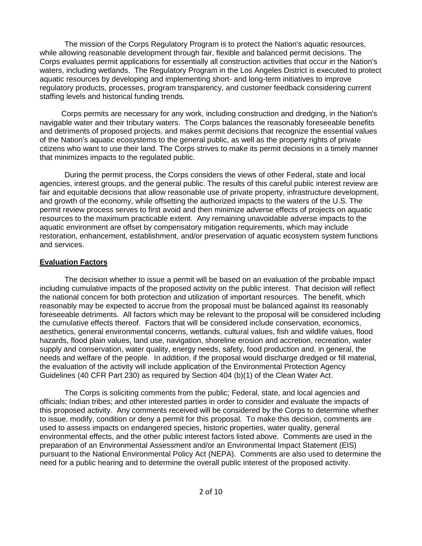The mission of the Corps Regulatory Program is to protect the Nation's aquatic resources, while allowing reasonable development through fair, flexible and balanced permit decisions. The Corps evaluates permit applications for essentially all construction activities that occur in the Nation's waters, including wetlands. The Regulatory Program in the Los Angeles District is executed to protect aquatic resources by developing and implementing short- and long-term initiatives to improve regulatory products, processes, program transparency, and customer feedback considering current staffing levels and historical funding trends.

Corps permits are necessary for any work, including construction and dredging, in the Nation's navigable water and their tributary waters. The Corps balances the reasonably foreseeable benefits and detriments of proposed projects, and makes permit decisions that recognize the essential values of the Nation's aquatic ecosystems to the general public, as well as the property rights of private citizens who want to use their land. The Corps strives to make its permit decisions in a timely manner that minimizes impacts to the regulated public.

During the permit process, the Corps considers the views of other Federal, state and local agencies, interest groups, and the general public. The results of this careful public interest review are fair and equitable decisions that allow reasonable use of private property, infrastructure development, and growth of the economy, while offsetting the authorized impacts to the waters of the U.S. The permit review process serves to first avoid and then minimize adverse effects of projects on aquatic resources to the maximum practicable extent. Any remaining unavoidable adverse impacts to the aquatic environment are offset by compensatory mitigation requirements, which may include restoration, enhancement, establishment, and/or preservation of aquatic ecosystem system functions and services.

#### **Evaluation Factors**

The decision whether to issue a permit will be based on an evaluation of the probable impact including cumulative impacts of the proposed activity on the public interest. That decision will reflect the national concern for both protection and utilization of important resources. The benefit, which reasonably may be expected to accrue from the proposal must be balanced against its reasonably foreseeable detriments. All factors which may be relevant to the proposal will be considered including the cumulative effects thereof. Factors that will be considered include conservation, economics, aesthetics, general environmental concerns, wetlands, cultural values, fish and wildlife values, flood hazards, flood plain values, land use, navigation, shoreline erosion and accretion, recreation, water supply and conservation, water quality, energy needs, safety, food production and, in general, the needs and welfare of the people. In addition, if the proposal would discharge dredged or fill material, the evaluation of the activity will include application of the Environmental Protection Agency Guidelines (40 CFR Part 230) as required by Section 404 (b)(1) of the Clean Water Act.

The Corps is soliciting comments from the public; Federal, state, and local agencies and officials; Indian tribes; and other interested parties in order to consider and evaluate the impacts of this proposed activity. Any comments received will be considered by the Corps to determine whether to issue, modify, condition or deny a permit for this proposal. To make this decision, comments are used to assess impacts on endangered species, historic properties, water quality, general environmental effects, and the other public interest factors listed above. Comments are used in the preparation of an Environmental Assessment and/or an Environmental Impact Statement (EIS) pursuant to the National Environmental Policy Act (NEPA). Comments are also used to determine the need for a public hearing and to determine the overall public interest of the proposed activity.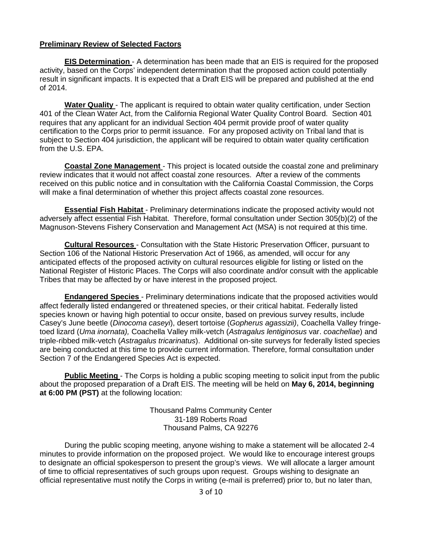#### **Preliminary Review of Selected Factors**

**EIS Determination** - A determination has been made that an EIS is required for the proposed activity, based on the Corps' independent determination that the proposed action could potentially result in significant impacts. It is expected that a Draft EIS will be prepared and published at the end of 2014.

**Water Quality** - The applicant is required to obtain water quality certification, under Section 401 of the Clean Water Act, from the California Regional Water Quality Control Board. Section 401 requires that any applicant for an individual Section 404 permit provide proof of water quality certification to the Corps prior to permit issuance. For any proposed activity on Tribal land that is subject to Section 404 jurisdiction, the applicant will be required to obtain water quality certification from the U.S. EPA.

**Coastal Zone Management** - This project is located outside the coastal zone and preliminary review indicates that it would not affect coastal zone resources. After a review of the comments received on this public notice and in consultation with the California Coastal Commission, the Corps will make a final determination of whether this project affects coastal zone resources.

**Essential Fish Habitat** - Preliminary determinations indicate the proposed activity would not adversely affect essential Fish Habitat. Therefore, formal consultation under Section 305(b)(2) of the Magnuson-Stevens Fishery Conservation and Management Act (MSA) is not required at this time.

**Cultural Resources** - Consultation with the State Historic Preservation Officer, pursuant to Section 106 of the National Historic Preservation Act of 1966, as amended, will occur for any anticipated effects of the proposed activity on cultural resources eligible for listing or listed on the National Register of Historic Places. The Corps will also coordinate and/or consult with the applicable Tribes that may be affected by or have interest in the proposed project.

**Endangered Species** - Preliminary determinations indicate that the proposed activities would affect federally listed endangered or threatened species, or their critical habitat. Federally listed species known or having high potential to occur onsite, based on previous survey results, include Casey's June beetle (*Dinocoma caseyi*), desert tortoise (*Gopherus agassizii)*, Coachella Valley fringetoed lizard (*Uma inornata),* Coachella Valley milk-vetch (*Astragalus lentiginosus* var. *coachellae*) and triple-ribbed milk-vetch (*Astragalus tricarinatus*). Additional on‐site surveys for federally listed species are being conducted at this time to provide current information. Therefore, formal consultation under Section 7 of the Endangered Species Act is expected.

**Public Meeting** - The Corps is holding a public scoping meeting to solicit input from the public about the proposed preparation of a Draft EIS. The meeting will be held on **May 6, 2014, beginning at 6:00 PM (PST)** at the following location:

> Thousand Palms Community Center 31-189 Roberts Road Thousand Palms, CA 92276

During the public scoping meeting, anyone wishing to make a statement will be allocated 2-4 minutes to provide information on the proposed project. We would like to encourage interest groups to designate an official spokesperson to present the group's views. We will allocate a larger amount of time to official representatives of such groups upon request. Groups wishing to designate an official representative must notify the Corps in writing (e-mail is preferred) prior to, but no later than,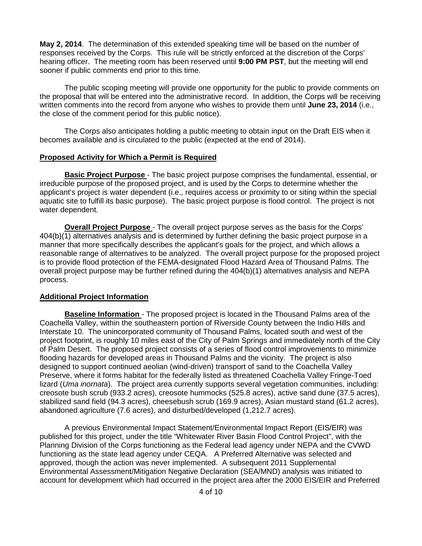**May 2, 2014**. The determination of this extended speaking time will be based on the number of responses received by the Corps. This rule will be strictly enforced at the discretion of the Corps' hearing officer. The meeting room has been reserved until **9:00 PM PST**, but the meeting will end sooner if public comments end prior to this time.

The public scoping meeting will provide one opportunity for the public to provide comments on the proposal that will be entered into the administrative record. In addition, the Corps will be receiving written comments into the record from anyone who wishes to provide them until **June 23, 2014** (i.e., the close of the comment period for this public notice).

The Corps also anticipates holding a public meeting to obtain input on the Draft EIS when it becomes available and is circulated to the public (expected at the end of 2014).

#### **Proposed Activity for Which a Permit is Required**

**Basic Project Purpose** - The basic project purpose comprises the fundamental, essential, or irreducible purpose of the proposed project, and is used by the Corps to determine whether the applicant's project is water dependent (i.e., requires access or proximity to or siting within the special aquatic site to fulfill its basic purpose). The basic project purpose is flood control. The project is not water dependent.

**Overall Project Purpose** - The overall project purpose serves as the basis for the Corps' 404(b)(1) alternatives analysis and is determined by further defining the basic project purpose in a manner that more specifically describes the applicant's goals for the project, and which allows a reasonable range of alternatives to be analyzed. The overall project purpose for the proposed project is to provide flood protection of the FEMA-designated Flood Hazard Area of Thousand Palms. The overall project purpose may be further refined during the 404(b)(1) alternatives analysis and NEPA process.

#### **Additional Project Information**

**Baseline Information** - The proposed project is located in the Thousand Palms area of the Coachella Valley, within the southeastern portion of Riverside County between the Indio Hills and Interstate 10. The unincorporated community of Thousand Palms, located south and west of the project footprint, is roughly 10 miles east of the City of Palm Springs and immediately north of the City of Palm Desert. The proposed project consists of a series of flood control improvements to minimize flooding hazards for developed areas in Thousand Palms and the vicinity. The project is also designed to support continued aeolian (wind-driven) transport of sand to the Coachella Valley Preserve, where it forms habitat for the federally listed as threatened Coachella Valley Fringe-Toed lizard (*Uma inornata*). The project area currently supports several vegetation communities, including: creosote bush scrub (933.2 acres), creosote hummocks (525.8 acres), active sand dune (37.5 acres), stabilized sand field (94.3 acres), cheesebush scrub (169.9 acres), Asian mustard stand (61.2 acres), abandoned agriculture (7.6 acres), and disturbed/developed (1,212.7 acres).

A previous Environmental Impact Statement/Environmental Impact Report (EIS/EIR) was published for this project, under the title "Whitewater River Basin Flood Control Project", with the Planning Division of the Corps functioning as the Federal lead agency under NEPA and the CVWD functioning as the state lead agency under CEQA. A Preferred Alternative was selected and approved, though the action was never implemented. A subsequent 2011 Supplemental Environmental Assessment/Mitigation Negative Declaration (SEA/MND) analysis was initiated to account for development which had occurred in the project area after the 2000 EIS/EIR and Preferred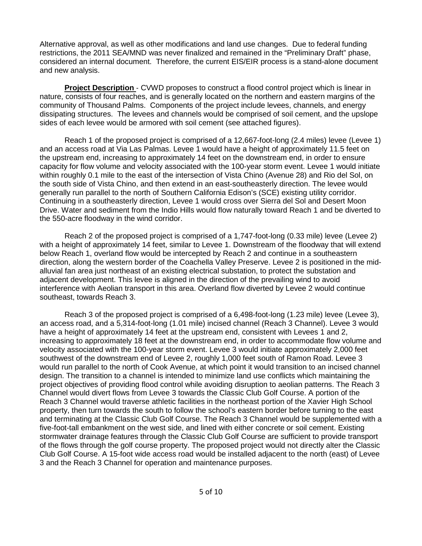Alternative approval, as well as other modifications and land use changes. Due to federal funding restrictions, the 2011 SEA/MND was never finalized and remained in the "Preliminary Draft" phase, considered an internal document. Therefore, the current EIS/EIR process is a stand-alone document and new analysis.

**Project Description** - CVWD proposes to construct a flood control project which is linear in nature, consists of four reaches, and is generally located on the northern and eastern margins of the community of Thousand Palms. Components of the project include levees, channels, and energy dissipating structures. The levees and channels would be comprised of soil cement, and the upslope sides of each levee would be armored with soil cement (see attached figures).

Reach 1 of the proposed project is comprised of a 12,667-foot-long (2.4 miles) levee (Levee 1) and an access road at Via Las Palmas. Levee 1 would have a height of approximately 11.5 feet on the upstream end, increasing to approximately 14 feet on the downstream end, in order to ensure capacity for flow volume and velocity associated with the 100-year storm event. Levee 1 would initiate within roughly 0.1 mile to the east of the intersection of Vista Chino (Avenue 28) and Rio del Sol, on the south side of Vista Chino, and then extend in an east-southeasterly direction. The levee would generally run parallel to the north of Southern California Edison's (SCE) existing utility corridor. Continuing in a southeasterly direction, Levee 1 would cross over Sierra del Sol and Desert Moon Drive. Water and sediment from the Indio Hills would flow naturally toward Reach 1 and be diverted to the 550-acre floodway in the wind corridor.

Reach 2 of the proposed project is comprised of a 1,747-foot-long (0.33 mile) levee (Levee 2) with a height of approximately 14 feet, similar to Levee 1. Downstream of the floodway that will extend below Reach 1, overland flow would be intercepted by Reach 2 and continue in a southeastern direction, along the western border of the Coachella Valley Preserve. Levee 2 is positioned in the midalluvial fan area just northeast of an existing electrical substation, to protect the substation and adjacent development. This levee is aligned in the direction of the prevailing wind to avoid interference with Aeolian transport in this area. Overland flow diverted by Levee 2 would continue southeast, towards Reach 3.

Reach 3 of the proposed project is comprised of a 6,498-foot-long (1.23 mile) levee (Levee 3), an access road, and a 5,314-foot-long (1.01 mile) incised channel (Reach 3 Channel). Levee 3 would have a height of approximately 14 feet at the upstream end, consistent with Levees 1 and 2, increasing to approximately 18 feet at the downstream end, in order to accommodate flow volume and velocity associated with the 100-year storm event. Levee 3 would initiate approximately 2,000 feet southwest of the downstream end of Levee 2, roughly 1,000 feet south of Ramon Road. Levee 3 would run parallel to the north of Cook Avenue, at which point it would transition to an incised channel design. The transition to a channel is intended to minimize land use conflicts which maintaining the project objectives of providing flood control while avoiding disruption to aeolian patterns. The Reach 3 Channel would divert flows from Levee 3 towards the Classic Club Golf Course. A portion of the Reach 3 Channel would traverse athletic facilities in the northeast portion of the Xavier High School property, then turn towards the south to follow the school's eastern border before turning to the east and terminating at the Classic Club Golf Course. The Reach 3 Channel would be supplemented with a five-foot-tall embankment on the west side, and lined with either concrete or soil cement. Existing stormwater drainage features through the Classic Club Golf Course are sufficient to provide transport of the flows through the golf course property. The proposed project would not directly alter the Classic Club Golf Course. A 15-foot wide access road would be installed adjacent to the north (east) of Levee 3 and the Reach 3 Channel for operation and maintenance purposes.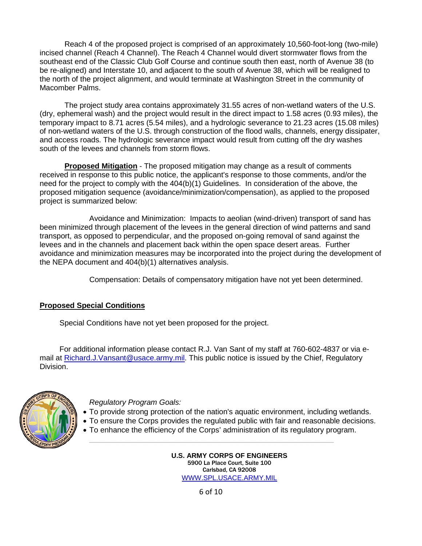Reach 4 of the proposed project is comprised of an approximately 10,560-foot-long (two-mile) incised channel (Reach 4 Channel). The Reach 4 Channel would divert stormwater flows from the southeast end of the Classic Club Golf Course and continue south then east, north of Avenue 38 (to be re-aligned) and Interstate 10, and adjacent to the south of Avenue 38, which will be realigned to the north of the project alignment, and would terminate at Washington Street in the community of Macomber Palms.

The project study area contains approximately 31.55 acres of non-wetland waters of the U.S. (dry, ephemeral wash) and the project would result in the direct impact to 1.58 acres (0.93 miles), the temporary impact to 8.71 acres (5.54 miles), and a hydrologic severance to 21.23 acres (15.08 miles) of non-wetland waters of the U.S. through construction of the flood walls, channels, energy dissipater, and access roads. The hydrologic severance impact would result from cutting off the dry washes south of the levees and channels from storm flows.

**Proposed Mitigation** - The proposed mitigation may change as a result of comments received in response to this public notice, the applicant's response to those comments, and/or the need for the project to comply with the 404(b)(1) Guidelines. In consideration of the above, the proposed mitigation sequence (avoidance/minimization/compensation), as applied to the proposed project is summarized below:

Avoidance and Minimization: Impacts to aeolian (wind-driven) transport of sand has been minimized through placement of the levees in the general direction of wind patterns and sand transport, as opposed to perpendicular, and the proposed on-going removal of sand against the levees and in the channels and placement back within the open space desert areas. Further avoidance and minimization measures may be incorporated into the project during the development of the NEPA document and 404(b)(1) alternatives analysis.

Compensation: Details of compensatory mitigation have not yet been determined.

# **Proposed Special Conditions**

Special Conditions have not yet been proposed for the project.

For additional information please contact R.J. Van Sant of my staff at 760-602-4837 or via email at Richard.J.Vansant@usace.army.mil. This public notice is issued by the Chief, Regulatory Division.



*Regulatory Program Goals:*

- To provide strong protection of the nation's aquatic environment, including wetlands.
- To ensure the Corps provides the regulated public with fair and reasonable decisions.
	- To enhance the efficiency of the Corps' administration of its regulatory program.

\_\_\_\_\_\_\_\_\_\_\_\_\_\_\_\_\_\_\_\_\_\_\_\_\_\_\_\_\_\_\_\_\_\_\_\_\_\_\_\_\_\_\_\_\_\_\_\_\_\_\_\_\_\_\_\_\_\_

**U.S. ARMY CORPS OF ENGINEERS** 5900 La Place Court, Suite 100 Carlsbad, CA 92008 [WWW.SPL.USACE.ARMY.MIL](http://www.spl.usace.army.mil/)

6 of 10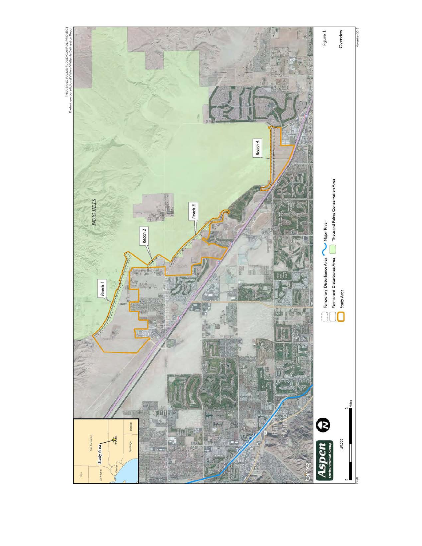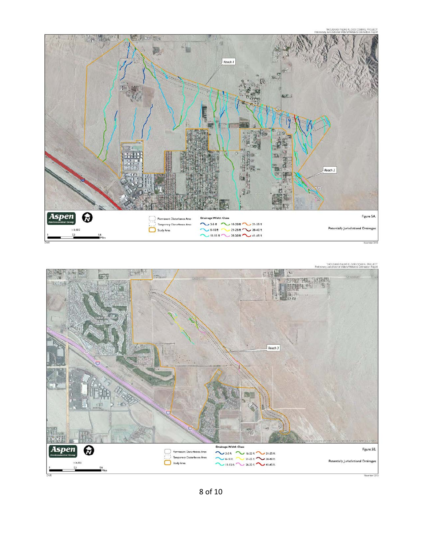

-<br>THOUSAND PALMS FLOOD CONROL PROJECT<br>Ley Jurisdictional Waters/Webards Delineation Report



8 of 10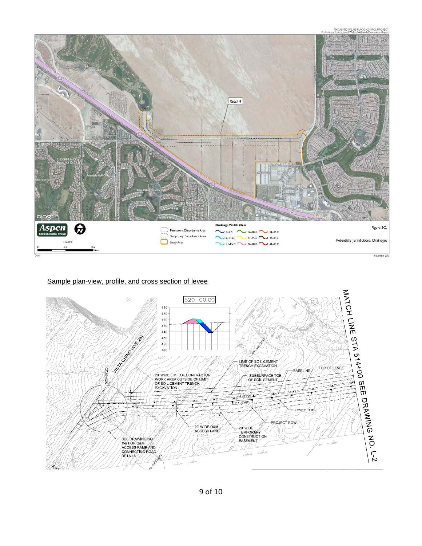

#### Sample plan-view, profile, and cross section of levee